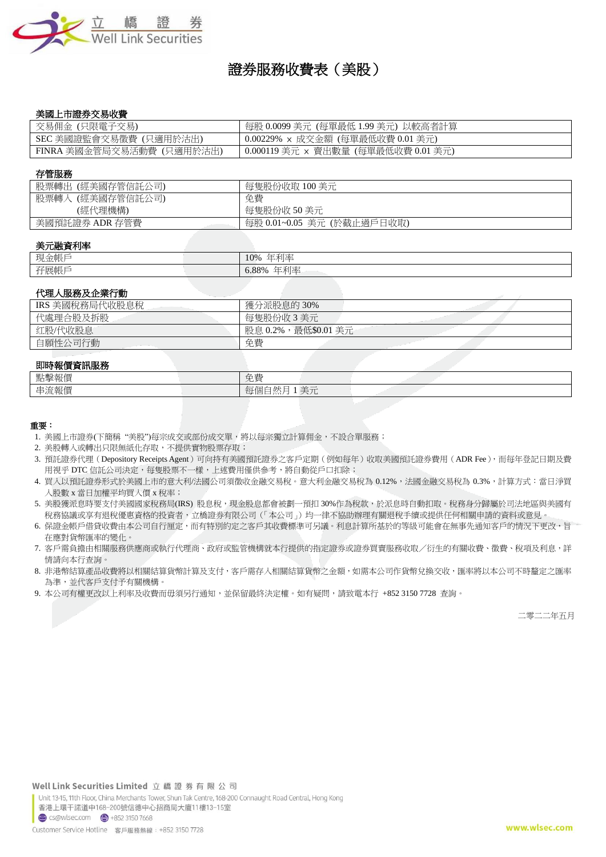

# 證券服務收費表(美股)

### 美國上市證券交易收費

| 交易佣金 (只限電子交易)             | 每股 0.0099 美元 (每單最低 1.99 美元) 以較高者計算  |
|---------------------------|-------------------------------------|
| SEC 美國證監會交易徵費 (只適用於沽出)    | 0.00229% × 成交金額 (每單最低收費 0.01 美元)    |
| FINRA 美國金管局交易活動費 (只適用於沽出) | 0.000119 美元 × 賣出數量 (每單最低收費 0.01 美元) |

#### 存管服務

| (經美國存管信託公司)<br>股票轉出 | 每隻股份收取 100 美元              |
|---------------------|----------------------------|
| 股票轉入 (經美國存管信託公司)    | 免費                         |
| (經代理機構)             | 每隻股份收 50 美元                |
| 美國預託證券 ADR 存管費      | 每股 0.01~0.05 美元 (於截止過戶日收取) |

### 美元融資利率

| $+$ $-$<br>TH.<br>`∠±≿li.<br>- 現金  人 | 年利率<br>10%<br>.                                              |
|--------------------------------------|--------------------------------------------------------------|
| 孖展帳戶                                 | $\leftrightarrow$ of the $\leftrightarrow$<br>ა.88%<br>.  24 |

### 代理人服務及企業行動

| IRS 美國稅務局代收股息稅 | 獲分派股息的30%               |
|----------------|-------------------------|
| 代處理合股及拆股       | 每隻股份收3美元                |
| 红股/代收股息        | ,最低\$0.01 美元<br>股息 0.2% |
| 自願性公司行動        | 免費                      |

# 即時報價資訊服務

| <b>MMY TALELY AND MAY</b> |                                                                                               |
|---------------------------|-----------------------------------------------------------------------------------------------|
| 點擊<br>火に                  | 台書<br>ルヌ                                                                                      |
| 串流<br>コカル                 | $\overline{\phantom{a}}$<br>ΗB<br>$\overline{\phantom{a}}$<br>ヘノロ<br>$\overline{\phantom{0}}$ |
|                           |                                                                                               |

#### 重要:

1. 美國上市證券(下簡稱 "美股")每宗成交或部份成交單,將以每宗獨立計算佣金,不設合單服務;

- 2. 美股轉入或轉出只限無紙化存取,不提供實物股票存取;
- 3. 預託證券代理 (Depository Receipts Agent)可向持有美國預託證券之客戶定期 (例如每年)收取美國預託證券費用 (ADR Fee), 而每年登記日期及費 用視乎 DTC 信託公司決定,每隻股票不一樣,上述費用僅供參考,將自動從戶口扣除;
- 4. 買入以預託證券形式於美國上市的意大利/法國公司須徵收金融交易稅。意大利金融交易稅為 0.12%,法國金融交易稅為 0.3%,計算方式:當日淨買 入股數 x 當日加權平均買入價 x 稅率;
- 5. 美股獲派息時要支付美國國家稅務局(IRS) 股息稅,現金股息都會被劃一預扣 30%作為稅款,於派息時自動扣取。稅務身分歸屬於司法地區與美國有 稅務協議或享有退稅優惠資格的投資者,立橋證券有限公司(「本公司」)均一律不協助辦理有關退稅手續或提供任何相關申請的資料或意見。
- 6. 保證金帳戶借貸收費由本公司自行厘定,而有特別約定之客戶其收費標準可另議。利息計算所基於的等級可能會在無事先通知客戶的情況下更改,旨 在應對貨幣匯率的變化。
- 7. 客戶需負擔由相關服務供應商或執行代理商、政府或監管機構就本行提供的指定證券或證券買賣服務收取/衍生的有關收費、徵費、稅項及利息,詳 情請向本行查詢。
- 8. 非港幣結算產品收費將以相關結算貨幣計算及支付,客戶需存入相關結算貨幣之金額,如需本公司作貨幣兌換交收,匯率將以本公司不時釐定之匯率 為準,並代客戶支付予有關機構。
- 9. 本公司有權更改以上利率及收費而毋須另行通知,並保留最終決定權。如有疑問,請致電本行 +852 3150 7728 查詢。

二零二二年五月